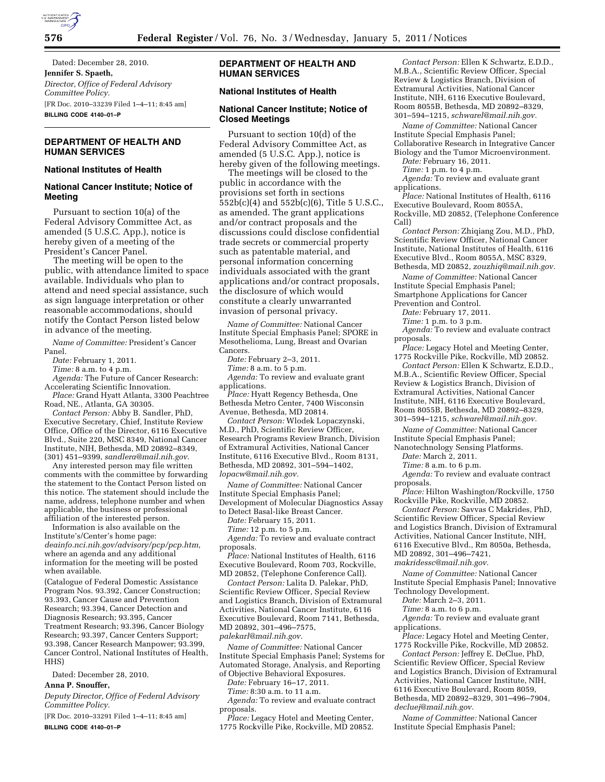

Dated: December 28, 2010. **Jennifer S. Spaeth,**  *Director, Office of Federal Advisory Committee Policy.*  [FR Doc. 2010–33239 Filed 1–4–11; 8:45 am] **BILLING CODE 4140–01–P** 

# **DEPARTMENT OF HEALTH AND HUMAN SERVICES**

## **National Institutes of Health**

### **National Cancer Institute; Notice of Meeting**

Pursuant to section 10(a) of the Federal Advisory Committee Act, as amended (5 U.S.C. App.), notice is hereby given of a meeting of the President's Cancer Panel.

The meeting will be open to the public, with attendance limited to space available. Individuals who plan to attend and need special assistance, such as sign language interpretation or other reasonable accommodations, should notify the Contact Person listed below in advance of the meeting.

*Name of Committee:* President's Cancer Panel.

*Date:* February 1, 2011.

*Time:* 8 a.m. to 4 p.m.

*Agenda:* The Future of Cancer Research: Accelerating Scientific Innovation.

*Place:* Grand Hyatt Atlanta, 3300 Peachtree Road, NE., Atlanta, GA 30305.

*Contact Person:* Abby B. Sandler, PhD, Executive Secretary, Chief, Institute Review Office, Office of the Director, 6116 Executive Blvd., Suite 220, MSC 8349, National Cancer Institute, NIH, Bethesda, MD 20892–8349, (301) 451–9399, *[sandlera@mail.nih.gov](mailto:sandlera@mail.nih.gov)*.

Any interested person may file written comments with the committee by forwarding the statement to the Contact Person listed on this notice. The statement should include the name, address, telephone number and when applicable, the business or professional affiliation of the interested person.

Information is also available on the Institute's/Center's home page: *deainfo.nci.nih.gov/advisory/pcp/pcp.htm,*  where an agenda and any additional information for the meeting will be posted when available.

(Catalogue of Federal Domestic Assistance Program Nos. 93.392, Cancer Construction; 93.393, Cancer Cause and Prevention Research; 93.394, Cancer Detection and Diagnosis Research; 93.395, Cancer Treatment Research; 93.396, Cancer Biology Research; 93.397, Cancer Centers Support; 93.398, Cancer Research Manpower; 93.399, Cancer Control, National Institutes of Health, HHS)

Dated: December 28, 2010.

**Anna P. Snouffer,** 

*Deputy Director, Office of Federal Advisory Committee Policy.* 

[FR Doc. 2010–33291 Filed 1–4–11; 8:45 am] **BILLING CODE 4140–01–P** 

## **DEPARTMENT OF HEALTH AND HUMAN SERVICES**

### **National Institutes of Health**

### **National Cancer Institute; Notice of Closed Meetings**

Pursuant to section 10(d) of the Federal Advisory Committee Act, as amended (5 U.S.C. App.), notice is hereby given of the following meetings.

The meetings will be closed to the public in accordance with the provisions set forth in sections 552b(c)(4) and 552b(c)(6), Title 5 U.S.C., as amended. The grant applications and/or contract proposals and the discussions could disclose confidential trade secrets or commercial property such as patentable material, and personal information concerning individuals associated with the grant applications and/or contract proposals, the disclosure of which would constitute a clearly unwarranted invasion of personal privacy.

*Name of Committee:* National Cancer Institute Special Emphasis Panel; SPORE in Mesothelioma, Lung, Breast and Ovarian Cancers.

*Date:* February 2–3, 2011.

*Time:* 8 a.m. to 5 p.m.

*Agenda:* To review and evaluate grant applications.

*Place:* Hyatt Regency Bethesda, One Bethesda Metro Center, 7400 Wisconsin Avenue, Bethesda, MD 20814.

*Contact Person:* Wlodek Lopaczynski, M.D., PhD, Scientific Review Officer, Research Programs Review Branch, Division of Extramural Activities, National Cancer Institute, 6116 Executive Blvd., Room 8131, Bethesda, MD 20892, 301–594–1402, *[lopacw@mail.nih.gov.](mailto:lopacw@mail.nih.gov)* 

*Name of Committee:* National Cancer Institute Special Emphasis Panel; Development of Molecular Diagnostics Assay to Detect Basal-like Breast Cancer.

*Date:* February 15, 2011.

*Time:* 12 p.m. to 5 p.m.

*Agenda:* To review and evaluate contract proposals.

*Place:* National Institutes of Health, 6116 Executive Boulevard, Room 703, Rockville, MD 20852, (Telephone Conference Call).

*Contact Person:* Lalita D. Palekar, PhD, Scientific Review Officer, Special Review and Logistics Branch, Division of Extramural Activities, National Cancer Institute, 6116 Executive Boulevard, Room 7141, Bethesda, MD 20892, 301–496–7575, *[palekarl@mail.nih.gov.](mailto:palekarl@mail.nih.gov)* 

*Name of Committee:* National Cancer Institute Special Emphasis Panel; Systems for Automated Storage, Analysis, and Reporting of Objective Behavioral Exposures.

*Date:* February 16–17, 2011.

*Time:* 8:30 a.m. to 11 a.m.

*Agenda:* To review and evaluate contract proposals.

*Place:* Legacy Hotel and Meeting Center, 1775 Rockville Pike, Rockville, MD 20852.

*Contact Person:* Ellen K Schwartz, E.D.D., M.B.A., Scientific Review Officer, Special Review & Logistics Branch, Division of Extramural Activities, National Cancer Institute, NIH, 6116 Executive Boulevard, Room 8055B, Bethesda, MD 20892–8329, 301–594–1215, *[schwarel@mail.nih.gov.](mailto:schwarel@mail.nih.gov)* 

*Name of Committee:* National Cancer Institute Special Emphasis Panel; Collaborative Research in Integrative Cancer Biology and the Tumor Microenvironment.

*Date:* February 16, 2011.

*Time:* 1 p.m. to 4 p.m.

*Agenda:* To review and evaluate grant applications.

*Place:* National Institutes of Health, 6116 Executive Boulevard, Room 8055A, Rockville, MD 20852, (Telephone Conference Call)

*Contact Person:* Zhiqiang Zou, M.D., PhD, Scientific Review Officer, National Cancer Institute, National Institutes of Health, 6116 Executive Blvd., Room 8055A, MSC 8329, Bethesda, MD 20852, *[zouzhiq@mail.nih.gov.](mailto:zouzhiq@mail.nih.gov)* 

*Name of Committee:* National Cancer Institute Special Emphasis Panel; Smartphone Applications for Cancer Prevention and Control.

*Date:* February 17, 2011.

*Time:* 1 p.m. to 3 p.m.

*Agenda:* To review and evaluate contract proposals.

*Place:* Legacy Hotel and Meeting Center, 1775 Rockville Pike, Rockville, MD 20852.

*Contact Person:* Ellen K Schwartz, E.D.D., M.B.A., Scientific Review Officer, Special Review & Logistics Branch, Division of Extramural Activities, National Cancer Institute, NIH, 6116 Executive Boulevard, Room 8055B, Bethesda, MD 20892–8329, 301–594–1215, *[schwarel@mail.nih.gov.](mailto:schwarel@mail.nih.gov)* 

*Name of Committee:* National Cancer Institute Special Emphasis Panel;

Nanotechnology Sensing Platforms. *Date:* March 2, 2011.

*Time:* 8 a.m. to 6 p.m.

*Agenda:* To review and evaluate contract proposals.

*Place:* Hilton Washington/Rockville, 1750 Rockville Pike, Rockville, MD 20852.

*Contact Person:* Savvas C Makrides, PhD, Scientific Review Officer, Special Review and Logistics Branch, Division of Extramural Activities, National Cancer Institute, NIH, 6116 Executive Blvd., Rm 8050a, Bethesda, MD 20892, 301–496–7421, *[makridessc@mail.nih.gov.](mailto:makridessc@mail.nih.gov)* 

*Name of Committee:* National Cancer Institute Special Emphasis Panel; Innovative Technology Development.

*Date:* March 2–3, 2011.

*Time:* 8 a.m. to 6 p.m.

*Agenda:* To review and evaluate grant applications.

*Place:* Legacy Hotel and Meeting Center, 1775 Rockville Pike, Rockville, MD 20852.

*Contact Person:* Jeffrey E. DeClue, PhD, Scientific Review Officer, Special Review and Logistics Branch, Division of Extramural Activities, National Cancer Institute, NIH, 6116 Executive Boulevard, Room 8059, Bethesda, MD 20892–8329, 301–496–7904, *[decluej@mail.nih.gov.](mailto:decluej@mail.nih.gov)* 

*Name of Committee:* National Cancer Institute Special Emphasis Panel;